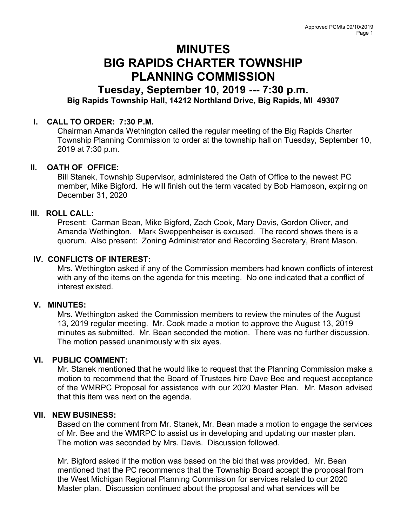# MINUTES BIG RAPIDS CHARTER TOWNSHIP PLANNING COMMISSION

# Tuesday, September 10, 2019 --- 7:30 p.m. Big Rapids Township Hall, 14212 Northland Drive, Big Rapids, MI 49307

# I. CALL TO ORDER: 7:30 P.M.

Chairman Amanda Wethington called the regular meeting of the Big Rapids Charter Township Planning Commission to order at the township hall on Tuesday, September 10, 2019 at 7:30 p.m.

# II. OATH OF OFFICE:

Bill Stanek, Township Supervisor, administered the Oath of Office to the newest PC member, Mike Bigford. He will finish out the term vacated by Bob Hampson, expiring on December 31, 2020

# III. ROLL CALL:

Present: Carman Bean, Mike Bigford, Zach Cook, Mary Davis, Gordon Oliver, and Amanda Wethington. Mark Sweppenheiser is excused. The record shows there is a quorum. Also present: Zoning Administrator and Recording Secretary, Brent Mason.

# IV. CONFLICTS OF INTEREST:

Mrs. Wethington asked if any of the Commission members had known conflicts of interest with any of the items on the agenda for this meeting. No one indicated that a conflict of interest existed.

# V. MINUTES:

Mrs. Wethington asked the Commission members to review the minutes of the August 13, 2019 regular meeting. Mr. Cook made a motion to approve the August 13, 2019 minutes as submitted. Mr. Bean seconded the motion. There was no further discussion. The motion passed unanimously with six ayes.

# VI. PUBLIC COMMENT:

Mr. Stanek mentioned that he would like to request that the Planning Commission make a motion to recommend that the Board of Trustees hire Dave Bee and request acceptance of the WMRPC Proposal for assistance with our 2020 Master Plan. Mr. Mason advised that this item was next on the agenda.

# VII. NEW BUSINESS:

Based on the comment from Mr. Stanek, Mr. Bean made a motion to engage the services of Mr. Bee and the WMRPC to assist us in developing and updating our master plan. The motion was seconded by Mrs. Davis. Discussion followed.

Mr. Bigford asked if the motion was based on the bid that was provided. Mr. Bean mentioned that the PC recommends that the Township Board accept the proposal from the West Michigan Regional Planning Commission for services related to our 2020 Master plan. Discussion continued about the proposal and what services will be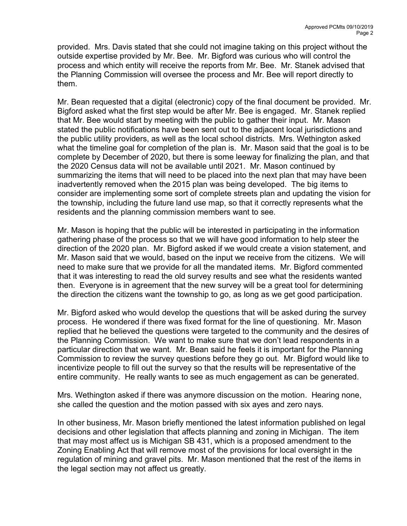provided. Mrs. Davis stated that she could not imagine taking on this project without the outside expertise provided by Mr. Bee. Mr. Bigford was curious who will control the process and which entity will receive the reports from Mr. Bee. Mr. Stanek advised that the Planning Commission will oversee the process and Mr. Bee will report directly to them.

Mr. Bean requested that a digital (electronic) copy of the final document be provided. Mr. Bigford asked what the first step would be after Mr. Bee is engaged. Mr. Stanek replied that Mr. Bee would start by meeting with the public to gather their input. Mr. Mason stated the public notifications have been sent out to the adjacent local jurisdictions and the public utility providers, as well as the local school districts. Mrs. Wethington asked what the timeline goal for completion of the plan is. Mr. Mason said that the goal is to be complete by December of 2020, but there is some leeway for finalizing the plan, and that the 2020 Census data will not be available until 2021. Mr. Mason continued by summarizing the items that will need to be placed into the next plan that may have been inadvertently removed when the 2015 plan was being developed. The big items to consider are implementing some sort of complete streets plan and updating the vision for the township, including the future land use map, so that it correctly represents what the residents and the planning commission members want to see.

Mr. Mason is hoping that the public will be interested in participating in the information gathering phase of the process so that we will have good information to help steer the direction of the 2020 plan. Mr. Bigford asked if we would create a vision statement, and Mr. Mason said that we would, based on the input we receive from the citizens. We will need to make sure that we provide for all the mandated items. Mr. Bigford commented that it was interesting to read the old survey results and see what the residents wanted then. Everyone is in agreement that the new survey will be a great tool for determining the direction the citizens want the township to go, as long as we get good participation.

Mr. Bigford asked who would develop the questions that will be asked during the survey process. He wondered if there was fixed format for the line of questioning. Mr. Mason replied that he believed the questions were targeted to the community and the desires of the Planning Commission. We want to make sure that we don't lead respondents in a particular direction that we want. Mr. Bean said he feels it is important for the Planning Commission to review the survey questions before they go out. Mr. Bigford would like to incentivize people to fill out the survey so that the results will be representative of the entire community. He really wants to see as much engagement as can be generated.

Mrs. Wethington asked if there was anymore discussion on the motion. Hearing none, she called the question and the motion passed with six ayes and zero nays.

In other business, Mr. Mason briefly mentioned the latest information published on legal decisions and other legislation that affects planning and zoning in Michigan. The item that may most affect us is Michigan SB 431, which is a proposed amendment to the Zoning Enabling Act that will remove most of the provisions for local oversight in the regulation of mining and gravel pits. Mr. Mason mentioned that the rest of the items in the legal section may not affect us greatly.